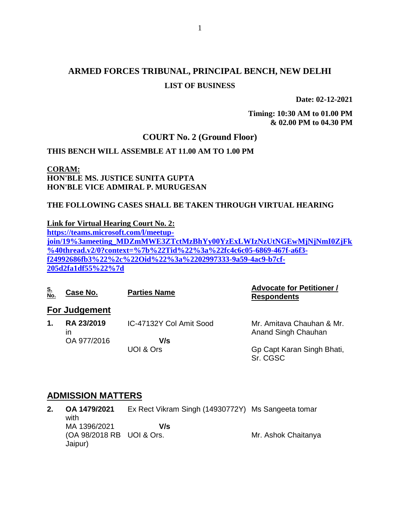# **ARMED FORCES TRIBUNAL, PRINCIPAL BENCH, NEW DELHI LIST OF BUSINESS**

**Date: 02-12-2021**

**Timing: 10:30 AM to 01.00 PM & 02.00 PM to 04.30 PM**

### **COURT No. 2 (Ground Floor)**

### **THIS BENCH WILL ASSEMBLE AT 11.00 AM TO 1.00 PM**

### **CORAM: HON'BLE MS. JUSTICE SUNITA GUPTA HON'BLE VICE ADMIRAL P. MURUGESAN**

#### **THE FOLLOWING CASES SHALL BE TAKEN THROUGH VIRTUAL HEARING**

**Link for Virtual Hearing Court No. 2:**

**[https://teams.microsoft.com/l/meetup](https://teams.microsoft.com/l/meetup-join/19%3ameeting_MDZmMWE3ZTctMzBhYy00YzExLWIzNzUtNGEwMjNjNmI0ZjFk%40thread.v2/0?context=%7b%22Tid%22%3a%22fc4c6c05-6869-467f-a6f3-f24992686fb3%22%2c%22Oid%22%3a%2202997333-9a59-4ac9-b7cf-205d2fa1df55%22%7d)[join/19%3ameeting\\_MDZmMWE3ZTctMzBhYy00YzExLWIzNzUtNGEwMjNjNmI0ZjFk](https://teams.microsoft.com/l/meetup-join/19%3ameeting_MDZmMWE3ZTctMzBhYy00YzExLWIzNzUtNGEwMjNjNmI0ZjFk%40thread.v2/0?context=%7b%22Tid%22%3a%22fc4c6c05-6869-467f-a6f3-f24992686fb3%22%2c%22Oid%22%3a%2202997333-9a59-4ac9-b7cf-205d2fa1df55%22%7d) [%40thread.v2/0?context=%7b%22Tid%22%3a%22fc4c6c05-6869-467f-a6f3](https://teams.microsoft.com/l/meetup-join/19%3ameeting_MDZmMWE3ZTctMzBhYy00YzExLWIzNzUtNGEwMjNjNmI0ZjFk%40thread.v2/0?context=%7b%22Tid%22%3a%22fc4c6c05-6869-467f-a6f3-f24992686fb3%22%2c%22Oid%22%3a%2202997333-9a59-4ac9-b7cf-205d2fa1df55%22%7d) [f24992686fb3%22%2c%22Oid%22%3a%2202997333-9a59-4ac9-b7cf-](https://teams.microsoft.com/l/meetup-join/19%3ameeting_MDZmMWE3ZTctMzBhYy00YzExLWIzNzUtNGEwMjNjNmI0ZjFk%40thread.v2/0?context=%7b%22Tid%22%3a%22fc4c6c05-6869-467f-a6f3-f24992686fb3%22%2c%22Oid%22%3a%2202997333-9a59-4ac9-b7cf-205d2fa1df55%22%7d)[205d2fa1df55%22%7d](https://teams.microsoft.com/l/meetup-join/19%3ameeting_MDZmMWE3ZTctMzBhYy00YzExLWIzNzUtNGEwMjNjNmI0ZjFk%40thread.v2/0?context=%7b%22Tid%22%3a%22fc4c6c05-6869-467f-a6f3-f24992686fb3%22%2c%22Oid%22%3a%2202997333-9a59-4ac9-b7cf-205d2fa1df55%22%7d)**

| <u>S.<br/>No.</u> | Case No.             | <b>Parties Name</b>     | <b>Advocate for Petitioner /</b><br><b>Respondents</b> |
|-------------------|----------------------|-------------------------|--------------------------------------------------------|
|                   | <b>For Judgement</b> |                         |                                                        |
| 1.                | RA 23/2019<br>ın     | IC-47132Y Col Amit Sood | Mr. Amitava Chauhan & Mr.<br>Anand Singh Chauhan       |
|                   | OA 977/2016          | V/s                     |                                                        |
|                   |                      | UOI & Ors               | Gp Capt Karan Singh Bhati,<br>Sr. CGSC                 |

### **ADMISSION MATTERS**

**2. OA 1479/2021** with MA 1396/2021 (OA 98/2018 RB UOI & Ors. Jaipur) Ex Rect Vikram Singh (14930772Y) Ms Sangeeta tomar  **V/s** Mr. Ashok Chaitanya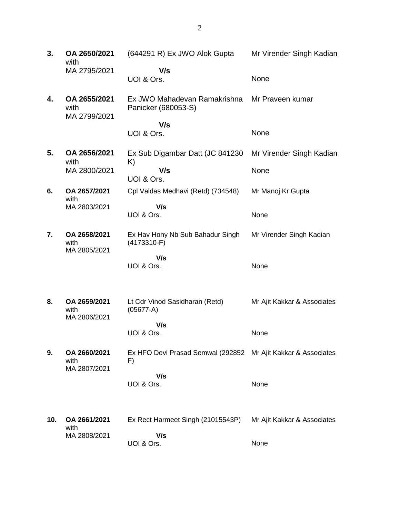**3. OA 2650/2021** with MA 2795/2021 (644291 R) Ex JWO Alok Gupta  **V/s** UOI & Ors. Mr Virender Singh Kadian None **4. OA 2655/2021** with MA 2799/2021 Ex JWO Mahadevan Ramakrishna Panicker (680053-S)  **V/s** UOI & Ors. Mr Praveen kumar None **5. OA 2656/2021** with MA 2800/2021 Ex Sub Digambar Datt (JC 841230 K)  **V/s** UOI & Ors. Mr Virender Singh Kadian None **6. OA 2657/2021** with MA 2803/2021 Cpl Valdas Medhavi (Retd) (734548)  **V/s** UOI & Ors. Mr Manoj Kr Gupta None **7. OA 2658/2021** with MA 2805/2021 Ex Hav Hony Nb Sub Bahadur Singh (4173310-F)  **V/s** UOI & Ors. Mr Virender Singh Kadian None **8. OA 2659/2021** with MA 2806/2021 Lt Cdr Vinod Sasidharan (Retd) (05677-A)  **V/s** UOI & Ors. Mr Ajit Kakkar & Associates None **9. OA 2660/2021** with MA 2807/2021 Ex HFO Devi Prasad Semwal (292852 Mr Ajit Kakkar & Associates F)  **V/s** UOI & Ors. None **10. OA 2661/2021** with MA 2808/2021 Ex Rect Harmeet Singh (21015543P)  **V/s** UOI & Ors. Mr Ajit Kakkar & Associates None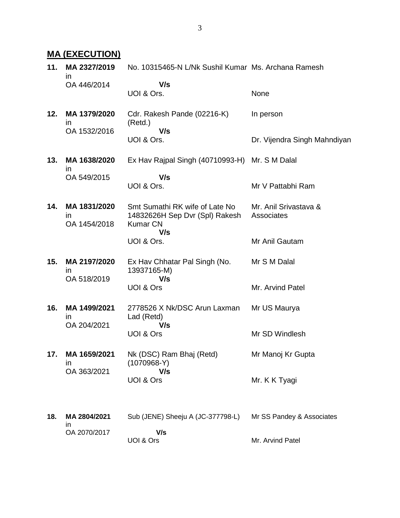# **MA (EXECUTION)**

| 11. | MA 2327/2019<br>$\mathsf{I}$                 | No. 10315465-N L/Nk Sushil Kumar Ms. Archana Ramesh                                        |                                     |
|-----|----------------------------------------------|--------------------------------------------------------------------------------------------|-------------------------------------|
|     | OA 446/2014                                  | V/s<br>UOI & Ors.                                                                          | None                                |
| 12. | MA 1379/2020<br>$\mathsf{I}$                 | Cdr. Rakesh Pande (02216-K)<br>(Retd.)                                                     | In person                           |
|     | OA 1532/2016                                 | V/s<br>UOI & Ors.                                                                          | Dr. Vijendra Singh Mahndiyan        |
| 13. | MA 1638/2020<br><i>in</i>                    | Ex Hav Rajpal Singh (40710993-H) Mr. S M Dalal                                             |                                     |
|     | OA 549/2015                                  | V/s<br>UOI & Ors.                                                                          | Mr V Pattabhi Ram                   |
| 14. | MA 1831/2020<br>$\mathsf{I}$<br>OA 1454/2018 | Smt Sumathi RK wife of Late No<br>14832626H Sep Dvr (Spl) Rakesh<br><b>Kumar CN</b><br>V/s | Mr. Anil Srivastava &<br>Associates |
|     |                                              | UOI & Ors.                                                                                 | Mr Anil Gautam                      |
| 15. | MA 2197/2020<br>$\mathsf{I}$<br>OA 518/2019  | Ex Hav Chhatar Pal Singh (No.<br>13937165-M)<br>V/s                                        | Mr S M Dalal                        |
|     |                                              | UOI & Ors                                                                                  | Mr. Arvind Patel                    |
| 16. | MA 1499/2021<br>in.<br>OA 204/2021           | 2778526 X Nk/DSC Arun Laxman<br>Lad (Retd)<br>V/s                                          | Mr US Maurya                        |
|     |                                              | UOI & Ors                                                                                  | Mr SD Windlesh                      |
| 17. | MA 1659/2021<br><i>in</i><br>OA 363/2021     | Nk (DSC) Ram Bhaj (Retd)<br>$(1070968-Y)$<br>V/s                                           | Mr Manoj Kr Gupta                   |
|     |                                              | UOI & Ors                                                                                  | Mr. K K Tyagi                       |
| 18. | MA 2804/2021<br>ın                           | Sub (JENE) Sheeju A (JC-377798-L)                                                          | Mr SS Pandey & Associates           |
|     | OA 2070/2017                                 | V/s<br>UOI & Ors                                                                           | Mr. Arvind Patel                    |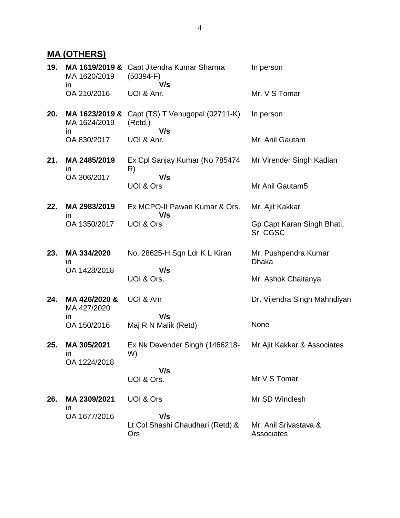# **MA (OTHERS)**

| 19. | MA 1619/2019 &<br>MA 1620/2019<br><i>in</i> | Capt Jitendra Kumar Sharma<br>$(50394-F)$<br>V/s  | In person                              |
|-----|---------------------------------------------|---------------------------------------------------|----------------------------------------|
|     | OA 210/2016                                 | UOI & Anr.                                        | Mr. V S Tomar                          |
| 20. | MA 1623/2019 &<br>MA 1624/2019<br>in.       | Capt (TS) T Venugopal (02711-K)<br>(Retd.)<br>V/s | In person                              |
|     | OA 830/2017                                 | UOI & Anr.                                        | Mr. Anil Gautam                        |
| 21. | MA 2485/2019<br>$\mathsf{I}$                | Ex Cpl Sanjay Kumar (No 785474<br>R)              | Mr Virender Singh Kadian               |
|     | OA 306/2017                                 | V/s<br>UOI & Ors                                  | Mr Anil Gautam5                        |
| 22. | MA 2983/2019<br>$\mathsf{I}$                | Ex MCPO-II Pawan Kumar & Ors.<br>V/s              | Mr. Ajit Kakkar                        |
|     | OA 1350/2017                                | UOI & Ors                                         | Gp Capt Karan Singh Bhati,<br>Sr. CGSC |
| 23. | MA 334/2020<br>$\mathsf{I}$                 | No. 28625-H Sqn Ldr K L Kiran                     | Mr. Pushpendra Kumar<br><b>Dhaka</b>   |
|     | OA 1428/2018                                | V/s<br>UOI & Ors.                                 | Mr. Ashok Chaitanya                    |
| 24. | MA 426/2020 &<br>MA 427/2020                | UOI & Anr                                         | Dr. Vijendra Singh Mahndiyan           |
|     | $\mathsf{I}$<br>OA 150/2016                 | V/s<br>Maj R N Malik (Retd)                       | None                                   |
| 25. | MA 305/2021<br>ın<br>OA 1224/2018           | Ex Nk Devender Singh (1466218-<br>W)              | Mr Ajit Kakkar & Associates            |
|     |                                             | V/s<br>UOI & Ors.                                 | Mr V S Tomar                           |
| 26. | MA 2309/2021                                | UOI & Ors                                         | Mr SD Windlesh                         |
|     | $\mathsf{I}$<br>OA 1677/2016                | V/s<br>Lt Col Shashi Chaudhari (Retd) &<br>Ors    | Mr. Anil Srivastava &<br>Associates    |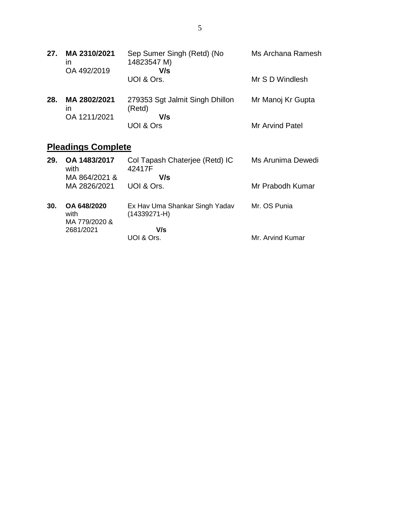| 27. | MA 2310/2021<br>ın<br>OA 492/2019  | Sep Sumer Singh (Retd) (No<br>14823547 M)<br>V/s | Ms Archana Ramesh |
|-----|------------------------------------|--------------------------------------------------|-------------------|
|     |                                    | UOI & Ors.                                       | Mr S D Windlesh   |
| 28. | MA 2802/2021<br>ın<br>OA 1211/2021 | 279353 Sgt Jalmit Singh Dhillon<br>(Retd)<br>V/s | Mr Manoj Kr Gupta |
|     |                                    | UOI & Ors                                        | Mr Arvind Patel   |

# **Pleadings Complete**

| 29. | OA 1483/2017<br>with<br>MA 864/2021 & | Col Tapash Chaterjee (Retd) IC<br>42417F<br>V/s    | Ms Arunima Dewedi |
|-----|---------------------------------------|----------------------------------------------------|-------------------|
|     | MA 2826/2021                          | UOI & Ors.                                         | Mr Prabodh Kumar  |
| 30. | OA 648/2020<br>with<br>MA 779/2020 &  | Ex Hav Uma Shankar Singh Yadav<br>$(14339271 - H)$ | Mr. OS Punia      |
|     | 2681/2021                             | V/s<br>UOI & Ors.                                  | Mr. Arvind Kumar  |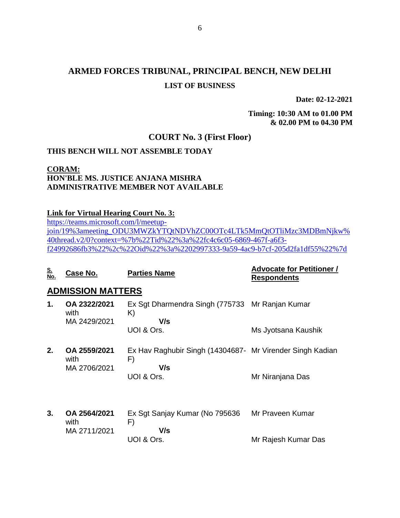# **ARMED FORCES TRIBUNAL, PRINCIPAL BENCH, NEW DELHI LIST OF BUSINESS**

**Date: 02-12-2021**

**Timing: 10:30 AM to 01.00 PM & 02.00 PM to 04.30 PM**

## **COURT No. 3 (First Floor)**

#### **THIS BENCH WILL NOT ASSEMBLE TODAY**

### **CORAM: HON'BLE MS. JUSTICE ANJANA MISHRA ADMINISTRATIVE MEMBER NOT AVAILABLE**

#### **Link for Virtual Hearing Court No. 3:**

[https://teams.microsoft.com/l/meetup](https://teams.microsoft.com/l/meetup-join/19%3ameeting_ODU3MWZkYTQtNDVhZC00OTc4LTk5MmQtOTliMzc3MDBmNjkw%40thread.v2/0?context=%7b%22Tid%22%3a%22fc4c6c05-6869-467f-a6f3-f24992686fb3%22%2c%22Oid%22%3a%2202997333-9a59-4ac9-b7cf-205d2fa1df55%22%7d)[join/19%3ameeting\\_ODU3MWZkYTQtNDVhZC00OTc4LTk5MmQtOTliMzc3MDBmNjkw%](https://teams.microsoft.com/l/meetup-join/19%3ameeting_ODU3MWZkYTQtNDVhZC00OTc4LTk5MmQtOTliMzc3MDBmNjkw%40thread.v2/0?context=%7b%22Tid%22%3a%22fc4c6c05-6869-467f-a6f3-f24992686fb3%22%2c%22Oid%22%3a%2202997333-9a59-4ac9-b7cf-205d2fa1df55%22%7d) [40thread.v2/0?context=%7b%22Tid%22%3a%22fc4c6c05-6869-467f-a6f3](https://teams.microsoft.com/l/meetup-join/19%3ameeting_ODU3MWZkYTQtNDVhZC00OTc4LTk5MmQtOTliMzc3MDBmNjkw%40thread.v2/0?context=%7b%22Tid%22%3a%22fc4c6c05-6869-467f-a6f3-f24992686fb3%22%2c%22Oid%22%3a%2202997333-9a59-4ac9-b7cf-205d2fa1df55%22%7d) [f24992686fb3%22%2c%22Oid%22%3a%2202997333-9a59-4ac9-b7cf-205d2fa1df55%22%7d](https://teams.microsoft.com/l/meetup-join/19%3ameeting_ODU3MWZkYTQtNDVhZC00OTc4LTk5MmQtOTliMzc3MDBmNjkw%40thread.v2/0?context=%7b%22Tid%22%3a%22fc4c6c05-6869-467f-a6f3-f24992686fb3%22%2c%22Oid%22%3a%2202997333-9a59-4ac9-b7cf-205d2fa1df55%22%7d)

| <u>S.</u><br>No. | <u>Case No.</u>                      | <b>Parties Name</b>                                                                  | <b>Advocate for Petitioner /</b><br><b>Respondents</b> |
|------------------|--------------------------------------|--------------------------------------------------------------------------------------|--------------------------------------------------------|
|                  | <b>ADMISSION MATTERS</b>             |                                                                                      |                                                        |
| 1.               | OA 2322/2021<br>with<br>MA 2429/2021 | Ex Sgt Dharmendra Singh (775733<br>K)<br>V/s                                         | Mr Ranjan Kumar                                        |
|                  |                                      | UOI & Ors.                                                                           | Ms Jyotsana Kaushik                                    |
| 2.               | OA 2559/2021<br>with<br>MA 2706/2021 | Ex Hav Raghubir Singh (14304687- Mr Virender Singh Kadian<br>F)<br>V/s<br>UOI & Ors. | Mr Niranjana Das                                       |
| 3.               | OA 2564/2021<br>with<br>MA 2711/2021 | Ex Sgt Sanjay Kumar (No 795636<br>F)<br>V/s<br>UOI & Ors.                            | Mr Praveen Kumar<br>Mr Rajesh Kumar Das                |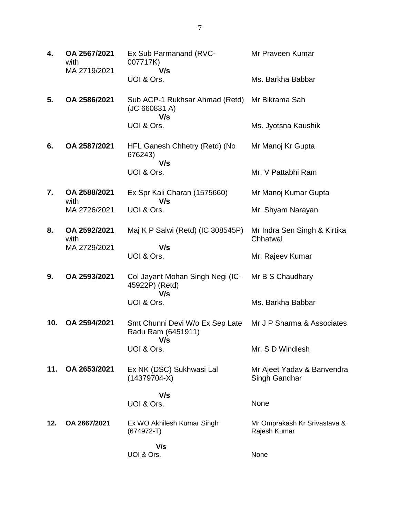| 4.  | OA 2567/2021<br>with<br>MA 2719/2021 | Ex Sub Parmanand (RVC-<br>007717K)<br>V/s                    | Mr Praveen Kumar                             |
|-----|--------------------------------------|--------------------------------------------------------------|----------------------------------------------|
|     |                                      | UOI & Ors.                                                   | Ms. Barkha Babbar                            |
| 5.  | OA 2586/2021                         | Sub ACP-1 Rukhsar Ahmad (Retd)<br>(JC 660831 A)<br>V/s       | Mr Bikrama Sah                               |
|     |                                      | UOI & Ors.                                                   | Ms. Jyotsna Kaushik                          |
| 6.  | OA 2587/2021                         | HFL Ganesh Chhetry (Retd) (No<br>676243)<br>V/s              | Mr Manoj Kr Gupta                            |
|     |                                      | UOI & Ors.                                                   | Mr. V Pattabhi Ram                           |
| 7.  | OA 2588/2021<br>with                 | Ex Spr Kali Charan (1575660)<br>V/s                          | Mr Manoj Kumar Gupta                         |
|     | MA 2726/2021                         | UOI & Ors.                                                   | Mr. Shyam Narayan                            |
| 8.  | OA 2592/2021<br>with                 | Maj K P Salwi (Retd) (IC 308545P)                            | Mr Indra Sen Singh & Kirtika<br>Chhatwal     |
|     | MA 2729/2021                         | V/s<br>UOI & Ors.                                            | Mr. Rajeev Kumar                             |
| 9.  | OA 2593/2021                         | Col Jayant Mohan Singh Negi (IC-<br>45922P) (Retd)<br>V/s    | Mr B S Chaudhary                             |
|     |                                      | UOI & Ors.                                                   | Ms. Barkha Babbar                            |
| 10. | OA 2594/2021                         | Smt Chunni Devi W/o Ex Sep Late<br>Radu Ram (6451911)<br>V/s | Mr J P Sharma & Associates                   |
|     |                                      | UOI & Ors.                                                   | Mr. S D Windlesh                             |
| 11. | OA 2653/2021                         | Ex NK (DSC) Sukhwasi Lal<br>$(14379704-X)$                   | Mr Ajeet Yadav & Banvendra<br>Singh Gandhar  |
|     |                                      | V/s<br>UOI & Ors.                                            | None                                         |
|     |                                      |                                                              |                                              |
| 12. | OA 2667/2021                         | Ex WO Akhilesh Kumar Singh<br>$(674972-T)$                   | Mr Omprakash Kr Srivastava &<br>Rajesh Kumar |
|     |                                      | V/s<br>UOI & Ors.                                            | None                                         |